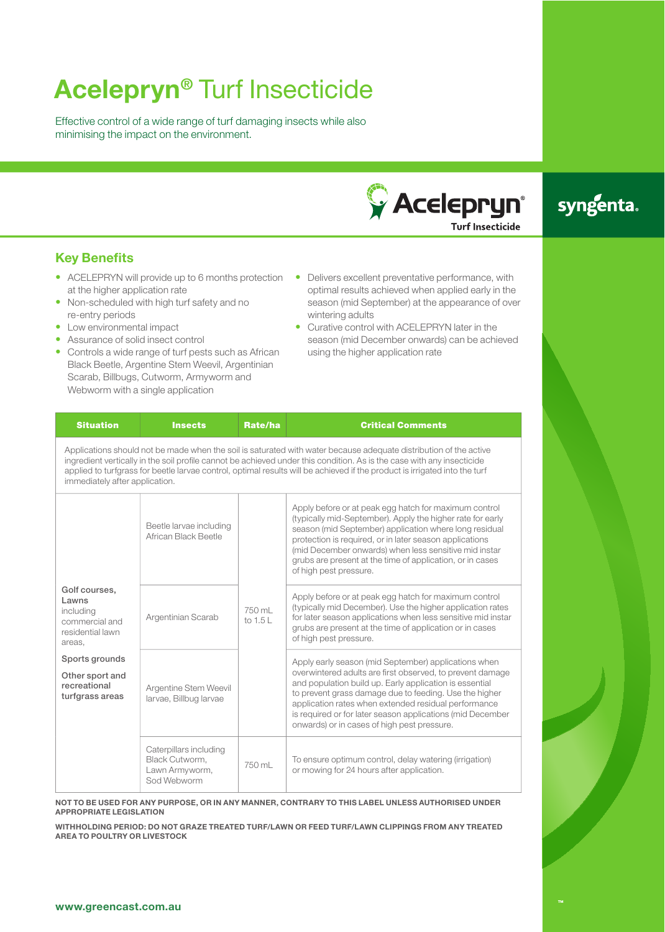# **Acelepryn<sup>®</sup> Turf Insecticide**

Effective control of a wide range of turf damaging insects while also minimising the impact on the environment.



## syngenta.

**Key Benefits**

- ACELEPRYN will provide up to 6 months protection at the higher application rate
- Non-scheduled with high turf safety and no re-entry periods
- Low environmental impact
- Assurance of solid insect control
- Controls a wide range of turf pests such as African Black Beetle, Argentine Stem Weevil, Argentinian Scarab, Billbugs, Cutworm, Armyworm and Webworm with a single application
- $\bullet$  Delivers excellent preventative performance, with optimal results achieved when applied early in the season (mid September) at the appearance of over wintering adults
- Curative control with ACELEPRYN later in the season (mid December onwards) can be achieved using the higher application rate

| <b>Situation</b>                                                                                                                                                                                                                                                                                                                                                                                            | <b>Insects</b> | Rate/ha | <b>Critical Comments</b> |  |  |  |
|-------------------------------------------------------------------------------------------------------------------------------------------------------------------------------------------------------------------------------------------------------------------------------------------------------------------------------------------------------------------------------------------------------------|----------------|---------|--------------------------|--|--|--|
| Applications should not be made when the soil is saturated with water because adequate distribution of the active<br>ingredient vertically in the soil profile cannot be achieved under this condition. As is the case with any insecticide<br>applied to turfgrass for beetle larvae control, optimal results will be achieved if the product is irrigated into the turf<br>immediately after application. |                |         |                          |  |  |  |

|                                                                                     | Beetle larvae including<br>African Black Beetle                           |                      | Apply before or at peak egg hatch for maximum control<br>(typically mid-September). Apply the higher rate for early<br>season (mid September) application where long residual<br>protection is required, or in later season applications<br>(mid December onwards) when less sensitive mid instar<br>grubs are present at the time of application, or in cases<br>of high pest pressure.                    |  |
|-------------------------------------------------------------------------------------|---------------------------------------------------------------------------|----------------------|-------------------------------------------------------------------------------------------------------------------------------------------------------------------------------------------------------------------------------------------------------------------------------------------------------------------------------------------------------------------------------------------------------------|--|
| Golf courses,<br>Lawns<br>including<br>commercial and<br>residential lawn<br>areas, | Argentinian Scarab                                                        | 750 ml<br>to $1.5 L$ | Apply before or at peak egg hatch for maximum control<br>(typically mid December). Use the higher application rates<br>for later season applications when less sensitive mid instar<br>grubs are present at the time of application or in cases<br>of high pest pressure.                                                                                                                                   |  |
| Sports grounds<br>Other sport and<br>recreational<br>turfgrass areas                | Argentine Stem Weevil<br>larvae, Billbug larvae                           |                      | Apply early season (mid September) applications when<br>overwintered adults are first observed, to prevent damage<br>and population build up. Early application is essential<br>to prevent grass damage due to feeding. Use the higher<br>application rates when extended residual performance<br>is required or for later season applications (mid December<br>onwards) or in cases of high pest pressure. |  |
|                                                                                     | Caterpillars including<br>Black Cutworm.<br>Lawn Armyworm,<br>Sod Webworm | 750 ml               | To ensure optimum control, delay watering (irrigation)<br>or mowing for 24 hours after application.                                                                                                                                                                                                                                                                                                         |  |

**NOT TO BE USED FOR ANY PURPOSE, OR IN ANY MANNER, CONTRARY TO THIS LABEL UNLESS AUTHORISED UNDER APPROPRIATE LEGISLATION**

**WITHHOLDING PERIOD: DO NOT GRAZE TREATED TURF/LAWN OR FEED TURF/LAWN CLIPPINGS FROM ANY TREATED AREA TO POULTRY OR LIVESTOCK**